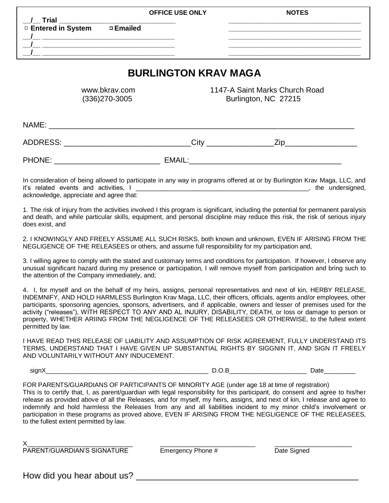| <u>__/__</u> _Trial _______________________________                                                                                          |                          | <b>OFFICE USE ONLY</b> | <b>NOTES</b>                  |
|----------------------------------------------------------------------------------------------------------------------------------------------|--------------------------|------------------------|-------------------------------|
| □ Entered in System<br><u> 1990 - Johann Harry Harry Harry Harry Harry Harry Harry Harry Harry Harry Harry Harry Harry Harry Harry Harry</u> | □ Emailed                |                        |                               |
| <b>BURLINGTON KRAV MAGA</b>                                                                                                                  |                          |                        |                               |
|                                                                                                                                              | الممرسسات بسمراط بنقنقين |                        | AAAZA Cajat Marka Church Dead |

 www.bkrav.com 1147-A Saint Marks Church Road (336)270-3005 Burlington, NC 27215

 $NAME:$ ADDRESS: \_\_\_\_\_\_\_\_\_\_\_\_\_\_\_\_\_\_\_\_\_\_\_\_\_\_\_\_\_\_\_\_City \_\_\_\_\_\_\_\_\_\_\_\_\_\_\_\_\_\_\_\_\_\_\_\_\_\_\_\_\_\_\_\_\_\_\_

PHONE: \_\_\_\_\_\_\_\_\_\_\_\_\_\_\_\_\_\_\_\_\_\_\_\_\_ EMAIL:\_\_\_\_\_\_\_\_\_\_\_\_\_\_\_\_\_\_\_\_\_\_\_\_\_\_\_\_\_\_\_\_\_\_\_\_

In consideration of being allowed to participate in any way in programs offered at or by Burlington Krav Maga, LLC, and it's related events and activities, I \_\_\_\_\_\_\_\_\_\_\_\_\_\_\_\_\_\_\_\_\_\_\_\_\_\_\_\_\_\_\_\_\_\_\_\_\_\_\_\_\_\_\_\_\_\_\_\_\_, the undersigned, acknowledge, appreciate and agree that:

1. The risk of injury from the activities involved I this program is significant, including the potential for permanent paralysis and death, and while particular skills, equipment, and personal discipline may reduce this risk, the risk of serious injury does exist, and

2. I KNOWINGLY AND FREELY ASSUME ALL SUCH RISKS, both known and unknown, EVEN IF ARISING FROM THE NEGLIGENCE OF THE RELEASEES or others, and assume full responsibility for my participation and,

3. I willing agree to comply with the stated and customary terms and conditions for participation. If however, I observe any unusual significant hazard during my presence or participation, I will remove myself from participation and bring such to the attention of the Company immediately, and;

4. I, for myself and on the behalf of my heirs, assigns, personal representatives and next of kin, HERBY RELEASE, INDEMNIFY, AND HOLD HARMLESS Burlington Krav Maga, LLC, their officers, officials, agents and/or employees, other participants, sponsoring agencies, sponsors, advertisers, and if applicable, owners and lesser of premises used for the activity ("releases"), WITH RESPECT TO ANY AND AL INJURY, DISABILITY, DEATH, or loss or damage to person or property, WHETHER ARIING FROM THE NEGLIGENCE OF THE RELEASEES OR OTHERWISE, to the fullest extent permitted by law.

I HAVE READ THIS RELEASE OF LIABILITY AND ASSUMPTION OF RISK AGREEMENT, FULLY UNDERSTAND ITS TERMS, UNDERSTAND THAT I HAVE GIVEN UP SUBSTANTIAL RIGHTS BY SIGGNIN IT, AND SIGN IT FREELY AND VOLUNTARILY WITHOUT ANY INDUCEMENT.

signX\_\_\_\_\_\_\_\_\_\_\_\_\_\_\_\_\_\_\_\_\_\_\_\_\_\_\_\_\_\_\_\_\_\_\_\_\_\_\_\_\_\_\_\_\_\_ D.O.B\_\_\_\_\_\_\_\_\_\_\_\_\_\_\_\_\_\_\_\_\_\_ Date\_\_\_\_\_\_\_\_\_

FOR PARENTS/GUARDIANS OF PARTICIPANTS OF MINORITY AGE (under age 18 at time of registration) This is to certify that, I, as parent/guardian with legal responsibility for this participant, do consent and agree to his/her release as provided above of all the Releases, and for myself, my heirs, assigns, and next of kin, I release and agree to indemnify and hold harmless the Releases from any and all liabilities incident to my minor child's involvement or participation in these programs as proved above, EVEN IF ARISING FROM THE NEGLIGENCE OF THE RELEASEES, to the fullest extent permitted by law.

X\_\_\_\_\_\_\_\_\_\_\_\_\_\_\_\_\_\_\_\_\_\_\_\_\_\_\_\_\_\_ \_\_\_\_\_\_\_\_\_\_\_\_\_\_\_\_\_\_\_\_\_\_\_\_\_\_\_ \_\_\_\_\_\_\_\_\_\_\_\_\_\_\_\_\_\_\_\_\_\_

PARENT/GUARDIAN'S SIGNATURE Emergency Phone # Date Signed

How did you hear about us?